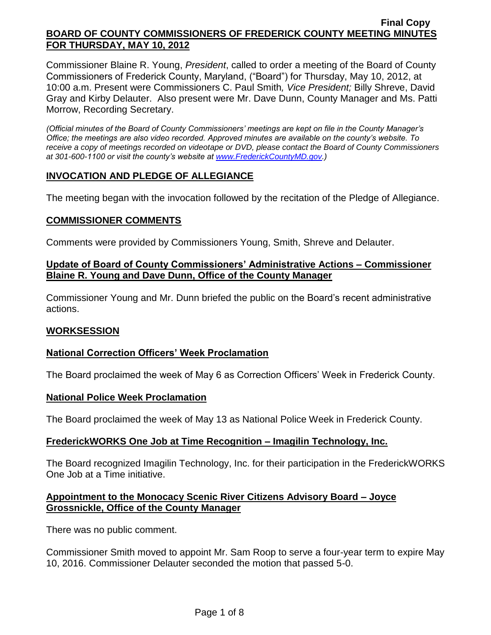Commissioner Blaine R. Young, *President*, called to order a meeting of the Board of County Commissioners of Frederick County, Maryland, ("Board") for Thursday, May 10, 2012, at 10:00 a.m. Present were Commissioners C. Paul Smith*, Vice President;* Billy Shreve, David Gray and Kirby Delauter. Also present were Mr. Dave Dunn, County Manager and Ms. Patti Morrow, Recording Secretary.

*(Official minutes of the Board of County Commissioners' meetings are kept on file in the County Manager's Office; the meetings are also video recorded. Approved minutes are available on the county's website. To receive a copy of meetings recorded on videotape or DVD, please contact the Board of County Commissioners at 301-600-1100 or visit the county's website at [www.FrederickCountyMD.gov.](http://www.frederickcountymd.gov/))*

## **INVOCATION AND PLEDGE OF ALLEGIANCE**

The meeting began with the invocation followed by the recitation of the Pledge of Allegiance.

### **COMMISSIONER COMMENTS**

Comments were provided by Commissioners Young, Smith, Shreve and Delauter.

## **Update of Board of County Commissioners' Administrative Actions – Commissioner Blaine R. Young and Dave Dunn, Office of the County Manager**

Commissioner Young and Mr. Dunn briefed the public on the Board's recent administrative actions.

#### **WORKSESSION**

## **National Correction Officers' Week Proclamation**

The Board proclaimed the week of May 6 as Correction Officers' Week in Frederick County.

#### **National Police Week Proclamation**

The Board proclaimed the week of May 13 as National Police Week in Frederick County.

#### **FrederickWORKS One Job at Time Recognition – Imagilin Technology, Inc.**

The Board recognized Imagilin Technology, Inc. for their participation in the FrederickWORKS One Job at a Time initiative.

### **Appointment to the Monocacy Scenic River Citizens Advisory Board – Joyce Grossnickle, Office of the County Manager**

There was no public comment.

Commissioner Smith moved to appoint Mr. Sam Roop to serve a four-year term to expire May 10, 2016. Commissioner Delauter seconded the motion that passed 5-0.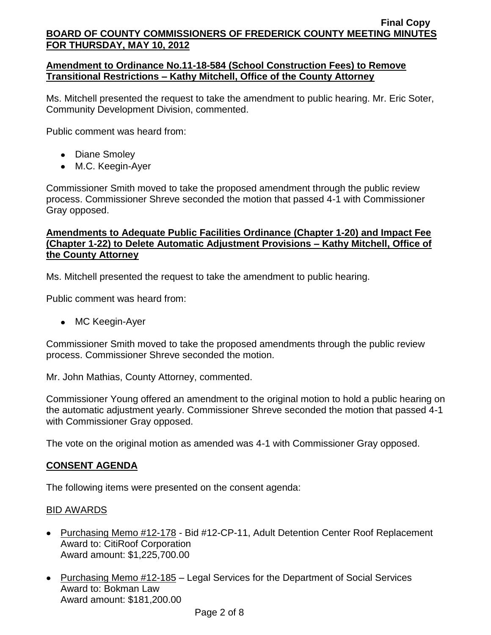## **Amendment to Ordinance No.11-18-584 (School Construction Fees) to Remove Transitional Restrictions – Kathy Mitchell, Office of the County Attorney**

Ms. Mitchell presented the request to take the amendment to public hearing. Mr. Eric Soter, Community Development Division, commented.

Public comment was heard from:

- Diane Smoley
- M.C. Keegin-Ayer

Commissioner Smith moved to take the proposed amendment through the public review process. Commissioner Shreve seconded the motion that passed 4-1 with Commissioner Gray opposed.

# **Amendments to Adequate Public Facilities Ordinance (Chapter 1-20) and Impact Fee (Chapter 1-22) to Delete Automatic Adjustment Provisions – Kathy Mitchell, Office of the County Attorney**

Ms. Mitchell presented the request to take the amendment to public hearing.

Public comment was heard from:

• MC Keegin-Ayer

Commissioner Smith moved to take the proposed amendments through the public review process. Commissioner Shreve seconded the motion.

Mr. John Mathias, County Attorney, commented.

Commissioner Young offered an amendment to the original motion to hold a public hearing on the automatic adjustment yearly. Commissioner Shreve seconded the motion that passed 4-1 with Commissioner Gray opposed.

The vote on the original motion as amended was 4-1 with Commissioner Gray opposed.

# **CONSENT AGENDA**

The following items were presented on the consent agenda:

# BID AWARDS

- Purchasing Memo #12-178 Bid #12-CP-11, Adult Detention Center Roof Replacement Award to: CitiRoof Corporation Award amount: \$1,225,700.00
- Purchasing Memo #12-185 Legal Services for the Department of Social Services Award to: Bokman Law Award amount: \$181,200.00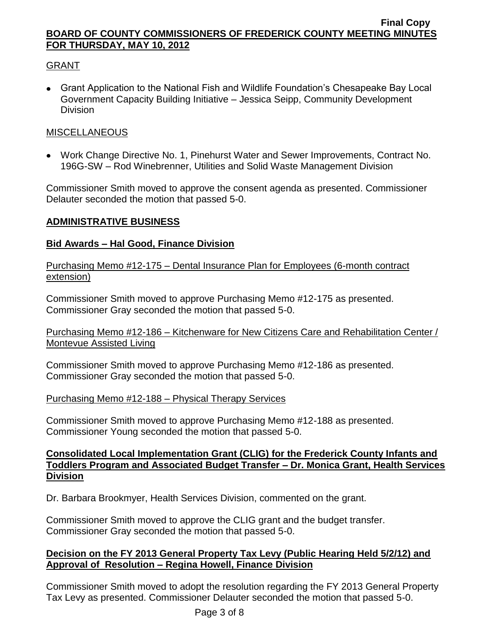# GRANT

Grant Application to the National Fish and Wildlife Foundation's Chesapeake Bay Local Government Capacity Building Initiative – Jessica Seipp, Community Development Division

# **MISCELLANEOUS**

Work Change Directive No. 1, Pinehurst Water and Sewer Improvements, Contract No. 196G-SW – Rod Winebrenner, Utilities and Solid Waste Management Division

Commissioner Smith moved to approve the consent agenda as presented. Commissioner Delauter seconded the motion that passed 5-0.

# **ADMINISTRATIVE BUSINESS**

# **Bid Awards – Hal Good, Finance Division**

Purchasing Memo #12-175 – Dental Insurance Plan for Employees (6-month contract extension)

Commissioner Smith moved to approve Purchasing Memo #12-175 as presented. Commissioner Gray seconded the motion that passed 5-0.

Purchasing Memo #12-186 – Kitchenware for New Citizens Care and Rehabilitation Center / Montevue Assisted Living

Commissioner Smith moved to approve Purchasing Memo #12-186 as presented. Commissioner Gray seconded the motion that passed 5-0.

## Purchasing Memo #12-188 – Physical Therapy Services

Commissioner Smith moved to approve Purchasing Memo #12-188 as presented. Commissioner Young seconded the motion that passed 5-0.

# **Consolidated Local Implementation Grant (CLIG) for the Frederick County Infants and Toddlers Program and Associated Budget Transfer – Dr. Monica Grant, Health Services Division**

Dr. Barbara Brookmyer, Health Services Division, commented on the grant.

Commissioner Smith moved to approve the CLIG grant and the budget transfer. Commissioner Gray seconded the motion that passed 5-0.

# **Decision on the FY 2013 General Property Tax Levy (Public Hearing Held 5/2/12) and Approval of Resolution – Regina Howell, Finance Division**

Commissioner Smith moved to adopt the resolution regarding the FY 2013 General Property Tax Levy as presented. Commissioner Delauter seconded the motion that passed 5-0.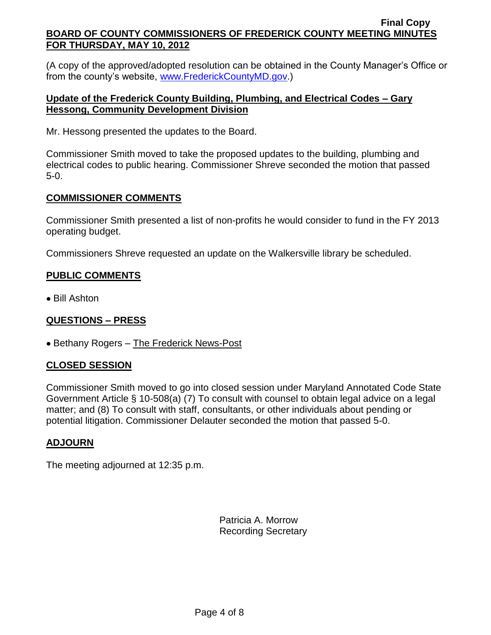(A copy of the approved/adopted resolution can be obtained in the County Manager's Office or from the county's website, [www.FrederickCountyMD.gov.](http://www.frederickcountymd.gov/))

# **Update of the Frederick County Building, Plumbing, and Electrical Codes – Gary Hessong, Community Development Division**

Mr. Hessong presented the updates to the Board.

Commissioner Smith moved to take the proposed updates to the building, plumbing and electrical codes to public hearing. Commissioner Shreve seconded the motion that passed 5-0.

# **COMMISSIONER COMMENTS**

Commissioner Smith presented a list of non-profits he would consider to fund in the FY 2013 operating budget.

Commissioners Shreve requested an update on the Walkersville library be scheduled.

## **PUBLIC COMMENTS**

Bill Ashton

# **QUESTIONS – PRESS**

• Bethany Rogers – The Frederick News-Post

# **CLOSED SESSION**

Commissioner Smith moved to go into closed session under Maryland Annotated Code State Government Article § 10-508(a) (7) To consult with counsel to obtain legal advice on a legal matter; and (8) To consult with staff, consultants, or other individuals about pending or potential litigation. Commissioner Delauter seconded the motion that passed 5-0.

## **ADJOURN**

The meeting adjourned at 12:35 p.m.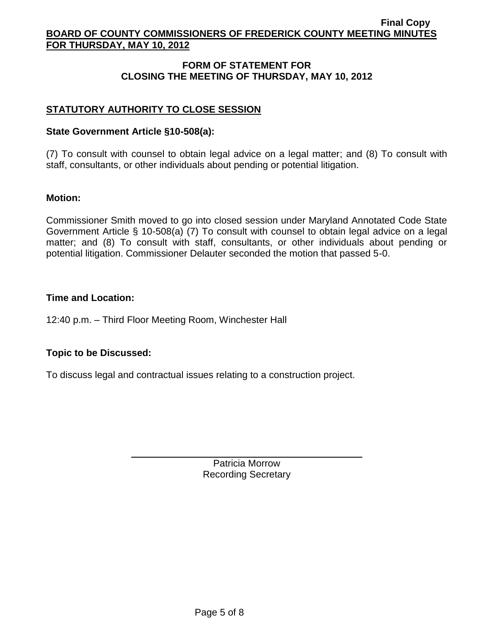# **FORM OF STATEMENT FOR CLOSING THE MEETING OF THURSDAY, MAY 10, 2012**

# **STATUTORY AUTHORITY TO CLOSE SESSION**

### **State Government Article §10-508(a):**

(7) To consult with counsel to obtain legal advice on a legal matter; and (8) To consult with staff, consultants, or other individuals about pending or potential litigation.

### **Motion:**

Commissioner Smith moved to go into closed session under Maryland Annotated Code State Government Article § 10-508(a) (7) To consult with counsel to obtain legal advice on a legal matter; and (8) To consult with staff, consultants, or other individuals about pending or potential litigation. Commissioner Delauter seconded the motion that passed 5-0.

### **Time and Location:**

12:40 p.m. – Third Floor Meeting Room, Winchester Hall

## **Topic to be Discussed:**

To discuss legal and contractual issues relating to a construction project.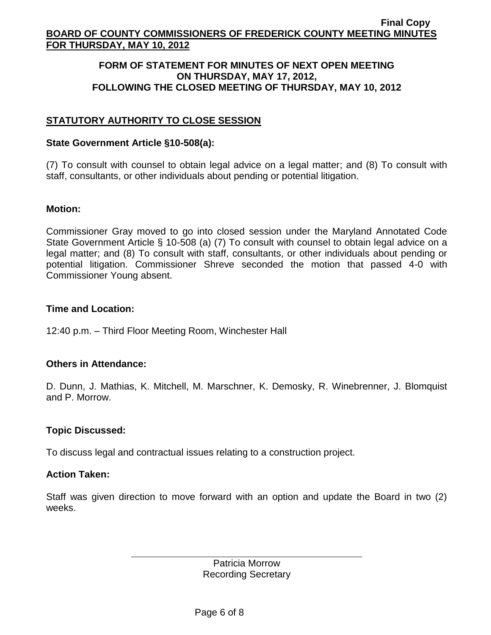### **FORM OF STATEMENT FOR MINUTES OF NEXT OPEN MEETING ON THURSDAY, MAY 17, 2012, FOLLOWING THE CLOSED MEETING OF THURSDAY, MAY 10, 2012**

# **STATUTORY AUTHORITY TO CLOSE SESSION**

### **State Government Article §10-508(a):**

(7) To consult with counsel to obtain legal advice on a legal matter; and (8) To consult with staff, consultants, or other individuals about pending or potential litigation.

### **Motion:**

Commissioner Gray moved to go into closed session under the Maryland Annotated Code State Government Article § 10-508 (a) (7) To consult with counsel to obtain legal advice on a legal matter; and (8) To consult with staff, consultants, or other individuals about pending or potential litigation. Commissioner Shreve seconded the motion that passed 4-0 with Commissioner Young absent.

### **Time and Location:**

12:40 p.m. – Third Floor Meeting Room, Winchester Hall

## **Others in Attendance:**

D. Dunn, J. Mathias, K. Mitchell, M. Marschner, K. Demosky, R. Winebrenner, J. Blomquist and P. Morrow.

## **Topic Discussed:**

To discuss legal and contractual issues relating to a construction project.

## **Action Taken:**

Staff was given direction to move forward with an option and update the Board in two (2) weeks.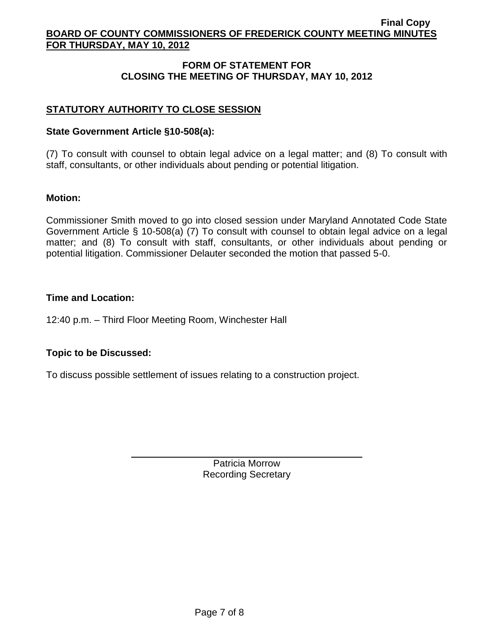# **FORM OF STATEMENT FOR CLOSING THE MEETING OF THURSDAY, MAY 10, 2012**

# **STATUTORY AUTHORITY TO CLOSE SESSION**

### **State Government Article §10-508(a):**

(7) To consult with counsel to obtain legal advice on a legal matter; and (8) To consult with staff, consultants, or other individuals about pending or potential litigation.

### **Motion:**

Commissioner Smith moved to go into closed session under Maryland Annotated Code State Government Article § 10-508(a) (7) To consult with counsel to obtain legal advice on a legal matter; and (8) To consult with staff, consultants, or other individuals about pending or potential litigation. Commissioner Delauter seconded the motion that passed 5-0.

### **Time and Location:**

12:40 p.m. – Third Floor Meeting Room, Winchester Hall

## **Topic to be Discussed:**

To discuss possible settlement of issues relating to a construction project.